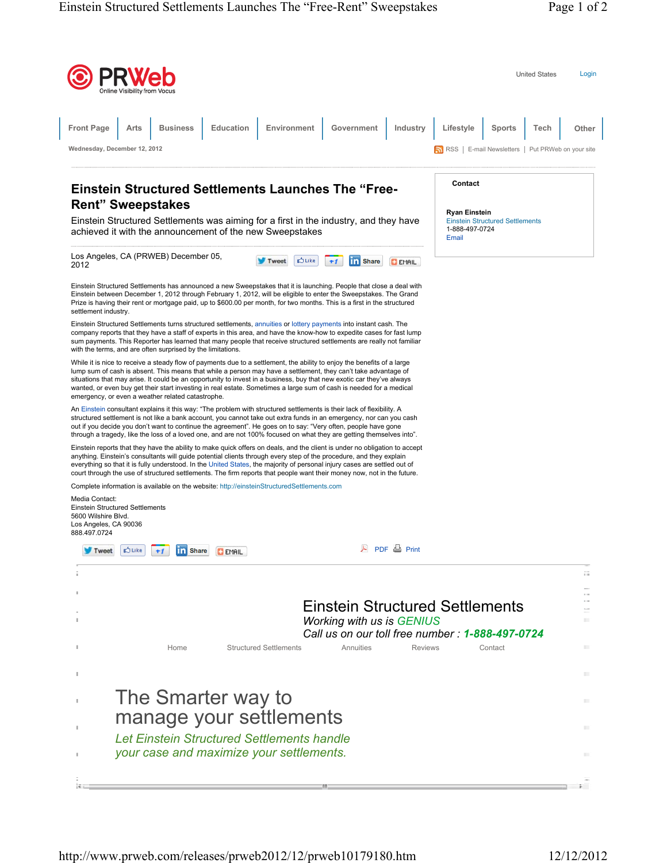